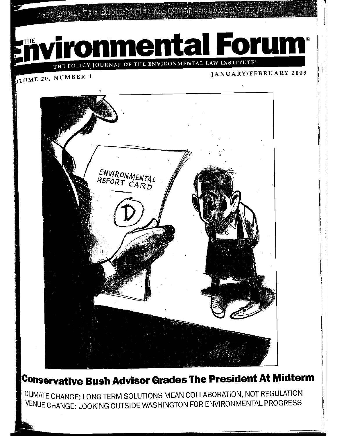JEFF RUGH: THE ENVIRONMENTAL WHISTLEBLOWER'S FRIEND



THE POLICY JOURNAL OF THE ENVIRONMENTAL LAW INSTITUTE<sup>®</sup>

OLUME 20, NUMBER 1

JANUARY/FEBRUARY 2003



## **Conservative Bush Advisor Grades The President At Midterm**

CLIMATE CHANGE: LONG-TERM SOLUTIONS MEAN COLLABORATION, NOT REGULATION VENUE CHANGE: LOOKING OUTSIDE WASHINGTON FOR ENVIRONMENTAL PROGRESS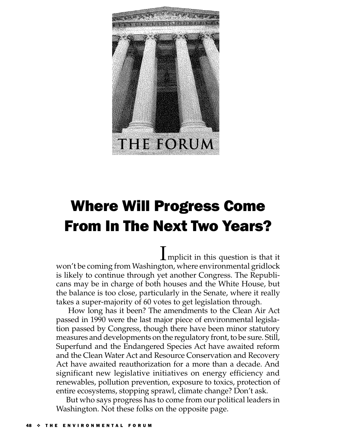

# **Where Will Progress Come From In The Next Two Years?**

 $\mathbf 1$  mplicit in this question is that it won't be coming from Washington, where environmental gridlock is likely to continue through yet another Congress. The Republicans may be in charge of both houses and the White House, but the balance is too close, particularly in the Senate, where it really takes a super-majority of 60 votes to get legislation through.

How long has it been? The amendments to the Clean Air Act passed in 1990 were the last major piece of environmental legislation passed by Congress, though there have been minor statutory measures and developments on the regulatory front, to be sure. Still, Superfund and the Endangered Species Act have awaited reform and the Clean Water Act and Resource Conservation and Recovery Act have awaited reauthorization for a more than a decade. And significant new legislative initiatives on energy efficiency and renewables, pollution prevention, exposure to toxics, protection of entire ecosystems, stopping sprawl, climate change? Don't ask.

But who says progress has to come from our political leaders in Washington. Not these folks on the opposite page.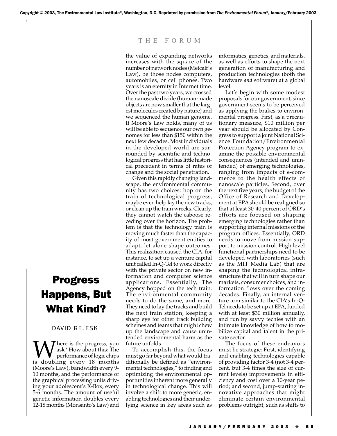#### THE FORUM

the value of expanding networks increases with the square of the number of network nodes (Metcalf's Law), be those nodes computers, automobiles, or cell phones. Two years is an eternity in Internet time. Over the past two years, we crossed the nanoscale divide (human-made objects are now smaller that the largest molecules created by nature) and we sequenced the human genome. If Moore's Law holds, many of us will be able to sequence our own genomes for less than \$150 within the next few decades. Most individuals in the developed world are surrounded by scientific and technological progress that has little historical precedent in terms of rates of change and the social penetration.

Given this rapidly changing landscape, the environmental community has two choices: hop on the train of technological progress, maybe even help lay the new tracks, or clean up the train wrecks. Clearly, they cannot watch the caboose receding over the horizon. The problem is that the technology train is moving much faster than the capacity of most government entities to adapt, let alone shape outcomes. This realization caused the CIA, for instance, to set up a venture capital unit called In-Q-Tel to work directly with the private sector on new information and computer science applications. Essentially, The Agency hopped on the tech train. The environmental community needs to do the same, and more. They need to lay the tracks and build the next train station, keeping a sharp eye for other track building schemes and teams that might chew up the landscape and cause unintended environmental harm as the future unfolds.

To accomplish this, the focus must go far beyond what would traditionally be defined as "environmental technologies," to finding and optimizing the environmental opportunities inherent more generally in technological change. This will involve a shift to more generic, enabling technologies and their underlying science in key areas such as

informatics, genetics, and materials, as well as efforts to shape the next generation of manufacturing and production technologies (both the hardware *and* software) at a global level.

Let's begin with some modest proposals for our government, since government seems to be perceived as applying the brakes to environmental progress. First, as a precautionary measure, \$10 million per year should be allocated by Congress to support a joint National Science Foundation/Environmental Protection Agency program to examine the possible environmental consequences (intended and unintended) of emerging technologies, ranging from impacts of e-commerce to the health effects of nanoscale particles. Second, over the next five years, the budget of the Office of Research and Development at EPA should be realigned so that at least 30-40 percent of ORD's efforts are focused on shaping emerging technologies rather than supporting internal missions of the program offices. Essentially, ORD needs to move from mission support to mission control. High level functional partnerships need to be developed with laboratories (such as the MIT Media Lab) that are shaping the technological infrastructure that will in turn shape our markets, consumer choices, and information flows over the coming decades. Finally, an internal venture arm similar to the CIA's In-Q-Tel needs to be set up at EPA, funded with at least \$30 million annually, and run by savvy techies with an intimate knowledge of how to mobilize capital and talent in the private sector.

The focus of these endeavors must be strategic: First, identifying and enabling technologies capable of providing factor 3-4 (not 3-4 percent, but 3-4 times the size of current levels) improvements in efficiency and cost over a 10-year period; and second, jump-starting innovative approaches that might eliminate certain environmental problems outright, such as shifts to

### **Progress Happens, But** What Kind?

#### DAVID REJESKI

There is the progress, you ask? How about this: The performance of logic chips is doubling every 18 months (Moore's Law), bandwidth every 9-10 months, and the performance of the graphical processing units driving your adolescent's X-Box, every 5-6 months. The amount of useful genetic information doubles every 12-18 months (Monsanto's Law) and